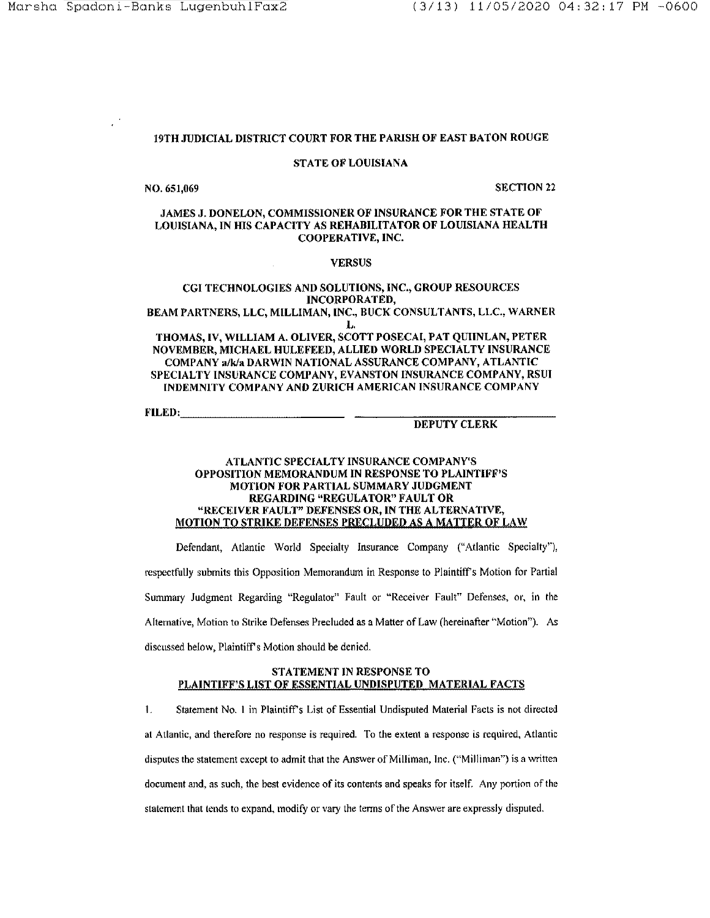# 19TH JUDICIAL DISTRICT COURT FOR THE PARISH OF EAST BATON ROUGE

### STATE OF LOUISIANA

NO. 651,069 SECTION 22

## JAMES J. DONELON, COMMISSIONER OF INSURANCE FOR THE STATE OF LOUISIANA, IN HIS CAPACITY AS REHABILITATOR OF LOUISIANA HEALTH COOPERATIVE, INC.

## VERSUS

## CG! TECHNOLOGIES AND SOLUTIONS, INC., GROUP RESOURCES INCORPORATED,

BEAM PARTNERS, LLC, MILLIMAN, INC., BUCK CONSULTANTS, LLC., WARNER L.

THOMAS, IV, WILLIAM A. OLIVER, SCOTT POSECAI, PAT QUIINLAN, PETER NOVEMBER, MICHAEL HULEFEED, ALLIED WORLD SPECIALTY INSURANCE COMPANY a/k/a DARWIN NATIONAL ASSURANCE COMPANY, ATLANTIC SPECIALTY INSURANCE COMPANY, EVANSTON INSURANCE COMPANY, RSUJ INDEMNITY COMPANY AND ZURICH AMERICAN INSURANCE COMPANY

FILED: \_\_\_\_\_\_\_\_\_\_\_ \_

### DEPUTY CLERK

### ATLANTIC SPECIALTY INSURANCE COMPANY'S OPPOSITION MEMORANDUM IN RESPONSE TO PLAINTIFF'S MOTION FOR PARTIAL SUMMARY JUDGMENT REGARDING "REGULATOR" FAULT OR "RECEIVER FAULT" DEFENSES OR, IN THE ALTERNATIVE, MOTION TO STRIKE DEFENSES PRECLUDED AS A MATTER OF LAW

Defendant, Atlantic World Specialty Insurance Company ("Atlantic Specialty"), respectfully submits this Opposition Memorandum in Response to Plaintiff's Motion for Partial Summaiy Judgment Regarding "Regulator" Fault or "Receiver Fault" Defenses, or, in the Alternative, Motion to Strike Defenses Precluded as a Matter of Law (hereinafter '"Motion"). As discussed below, Plaintiff's Motion should be denied.

# STATEMENT JN RESPONSE TO PLAINTIFF'S LIST OF ESSENTIAL UNDISPUTED MATERIAL FACTS

1. Statement No. I in Plaintiff's List of Essential Undisputed Material Facts is not directed at Atlantic, and therefore no response is required. To the extent a response is required, Atlantic disputes the statement except to admit that the Answer of Milliman, Inc. ("Milliman") is a written document and, as such, the best evidence of its contents and speaks for itself. Any portion of the statement that tends to expand, modify or vary the tenns of the Answer are expressly disputed.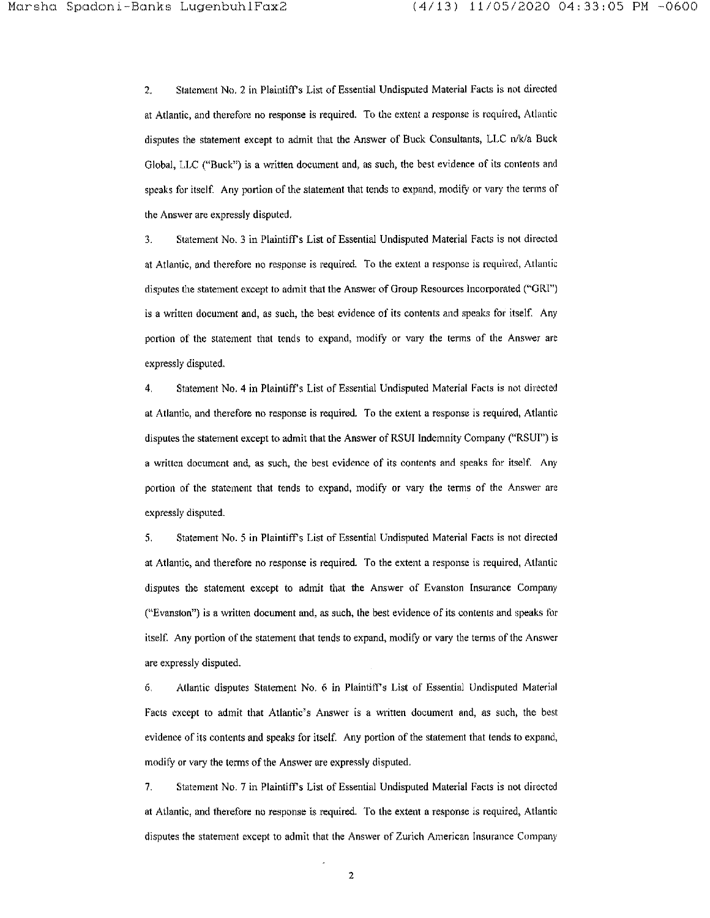2. Statement No. 2 in Plaintiff's List of Essential Undisputed Material Facts is not directed **at Atlantic, and therefore no response is required. To the extent a response is required, Allantic**  disputes the statement except to admit that the Answer of Buck Consultants, LLC n/k/a Buck Global, LLC ("Buck") is a written document and, as such, the best evidence of its contents and speaks for itself. Any portion of the statement that tends to expand, modify or vary the terms of the Answer are expressly disputed.

3. Statement No. 3 in Plaintiff's List of Essential Undisputed Material Facts is not directed **at Atlantic, and therefore no response is required. To the extent a response is required, Atlantic**  disputes the statement except to admit that the Answer of Group Resources Incorporated ("GRI") is a written document and, as such, the best evidence of its contents and speaks for itself. Any portion of the statement that tends to expand, modify or vary the terms of the Answer are expressly disputed.

4. Statement No. 4 in Plaintiff's List of Essential Undisputed Material Facts is not directed at Atlantic, and therefore no response is required. To the extent a response is required, Atlantic disputes the statement except to admit that the Answer of RSUI Indemnity Company ("RSUI") is **a written document and, as such, the best evidence of its contents and speaks for itself. Any**  portion of the statement that tends to expand, modify or vary the terms of the Answer are expressly disputed.

5. Statement No. *5* in Plaintiffs List of Essential Undisputed Material Facts is not directed **at Atlantic) and therefore no response is required. To the extent a response is required, Atlantic**  disputes the statement except to admit that the Answer of Evanston Insurance Company ("Evanston") is a written document and, as such, the best evidence of its contents and speaks for itself. Any portion of the statement that tends to expand, modify or vary the terms of the Answer are expressly disputed.

6. Atlantic disputes Statement No. 6 in Plaintiffs List of Essential Undisputed Material Facts except to admit that Atlantic's Answer is a written document and, as such, the best evidence of its contents and speaks for itself. Any portion of the statement that tends to expand, modify or vary the terms of the Answer are expressly disputed.

7. Statement No. 7 in Plaintifrs List of Essential Undisputed Material Facts is not directed **at Atlantic, and therefore no response is required. To the extent a response is required, Atlantic**  disputes the statement except to admit that the Answer of Zurich American Insurance Company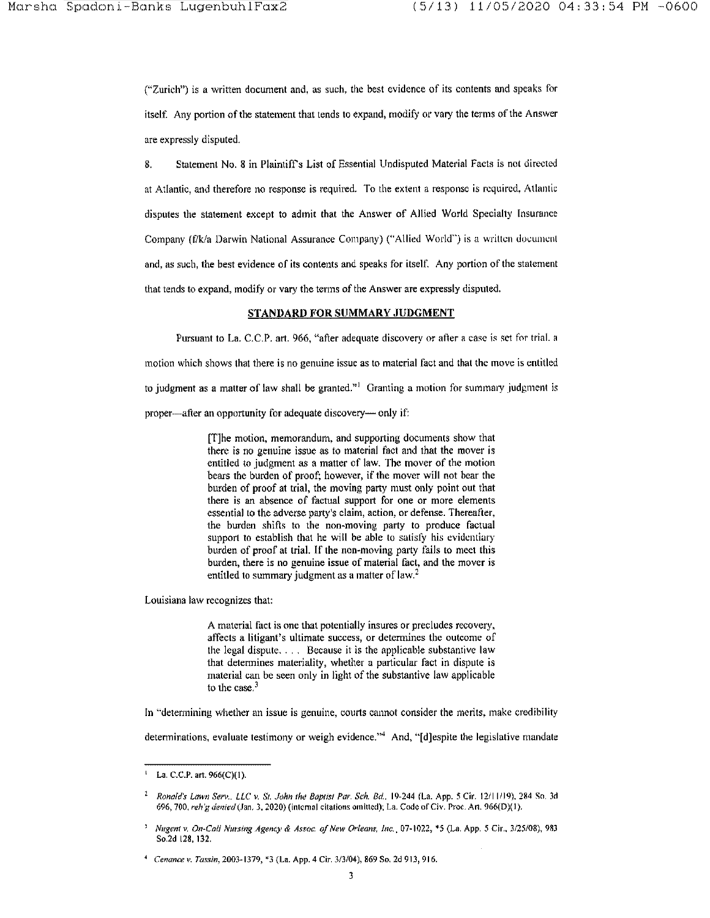("Zurich") is a written document and, as such, the best evidence of its contents and speaks for itself. Any portion of the statement that tends to expand, modify or vary the terms of the Answer are expressly disputed.

8. Statement No. 8 in Plaintiffs List of Essential Undisputed Material Facts is not directed at Atlantic, and therefore no response is required. To the extent a response is required, Atlantic disputes the statement except to admit that the Answer of Allied World Specialty Insurance Company (f/k/a Darwin National Assurance Company) ("Allied World") is a written document and, as such, the best evidence of its contents and speaks for itself. Any portion of the statement that tends to expand, modify or vary the terms of the Answer are expressly disputed.

# STANDARD FOR SUMMARY JUDGMENT

Pursuant to La. C.C.P. art. 966, "after adequate discovery or after a case is set for trial. a inotion which shows that there is no genuine issue as to material fact and that the move is entitled to judgment as a matter of law shall be granted.<sup> $n_1$ </sup> Granting a motion for summary judgment is proper—after an opportunity for adequate discovery— only if:

> [T]he motion, memorandum, and supporting documents show that there is no genuine issue as to material fact and that the mover is entitled to judgment as a matter of law. The mover of the motion bears the burden of proof; however, if the mover will not bear the burden of proof at trial, the moving party must only point out that there is an absence of factual support for one or more elements essential to the adverse party's claim, action, or defense. Thereafter, the burden shifts to the non-moving party to produce factual support to establish that he will be able to satisfy his evidentiary burden of proof at trial. If the non-moving party fails to meet this burden, there is no genuine issue of material fact. and the mover is entitled to summary judgment as a matter of law.<sup>2</sup>

Louisiana law recognizes that:

A material fact is one that potentially insures or precludes recovery. affects a litigant's ultimate success, or determines the outcome of the legal dispute. . . . Because it is the applicable substantive law that determines materiality, whether a particular fact in dispute is material can be seen only in light of the substantive law applicable to the case.<sup>3</sup>

In "determining whether an issue is genuine, courts cannot consider the merits, make credibility

determinations, evaluate testimony or weigh evidence."<sup>4</sup> And, " $\lceil d \rceil$ espite the legislative mandate

<sup>&#</sup>x27; La. C.C.P. art. 966(C)(l).

 $\mathbf{2}$ *Ronald's lawn Serv .. llC v. Sr. John the Bap11SI Par. Sch. Bd.,* 19-244 (La. App. 5 Cir. 12111119), 284 So. 3cl 696, 700, *n.th'g de11icd* (Jan. *3,* 2020) (internal citations omitted); La. Code of Civ. Proc. An. 966(0)( I).

<sup>&#</sup>x27; *Nugent v. On-Cali Nursing Agency* & *Assoc. of New Orleans, Inc.,* 07~ 1022, "'5 (La. App. *5* Cir .. 3/25/08), 983 So.2d 128, 132.

<sup>4</sup>*Cenance v. Tassin,* 2003-1379, \*3 (La. App. 4 Cir. 3/3/04), 869 So. 2d 913, 916.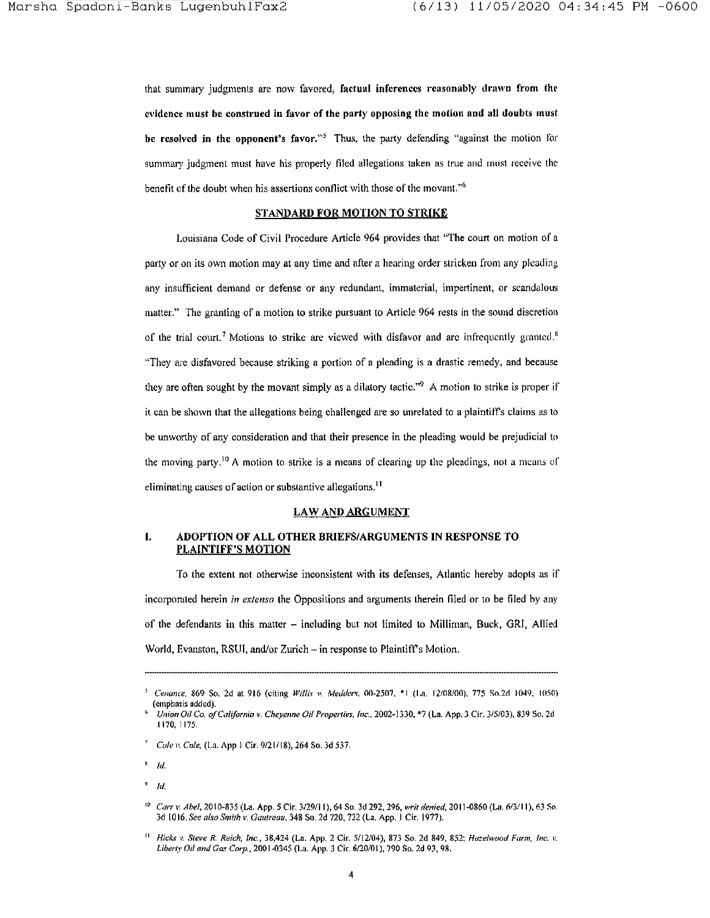that summary judgments are now favored, factual inferences reasonably drawn from the evidence must be construed in favor of the party opposing the motion and all doubts must be resolved in the opponent's favor."<sup>5</sup> Thus, the party defending "against the motion for summary judgment must have his properly filed allegations taken as true and must receive the benefit of the doubt when his assertions conflict with those of the movant.''<sup>6</sup>

#### STANDARD FOR MOTION TO STRIKE

Louisiana Code of Civil Procedure Article 964 provides that ''The court on motion of a party or on its own motion may at any time and after a hearing order stricken from any pleading any insufficient demand or defense or any redundant, immaterial, impertinent, or scandalous matter." The granting of a motion to strike pursuant to Article 964 rests in the sound discretion of the trial court.<sup>7</sup> Motions to strike are viewed with disfavor and are infrequently granted.<sup>8</sup> ''They are disfavored because striking a portion of a pleading is a drastic remedy, and because they are often sought by the movant simply as a dilatory tactic."<sup>9</sup> A motion to strike is proper if it can be shown that the allegations being challenged are so unrelated to a plaintiff's claims as to be unworthy of any consideration and that their presence in the pleading would be prejudicial to the moving party.<sup>10</sup> A motion to strike is a means of clearing up the pleadings, not a means of eliminating causes of action or substantive allegations.<sup>11</sup>

### LAW AND ARGUMENT

## I. ADOPTION OF ALL OTHER BRIEFS/ARGUMENTS IN RESPONSE TO PLAINTIFF'S MOTION

To the extent not otherwise inconsistent with its defenses, Atlantic hereby adopts as if incorporated herein *in extenso* the Oppositions and arguments therein filed or to be tiled by any of the defendants in this matter - including but not limited to Milliman, Buck, GR!, Allied World, Evanston, RSUI, and/or Zurich – in response to Plaintiff's Motion.

<sup>&</sup>lt;sup>5</sup> Cenance, 869 So. 2d at 916 (citing *Willis v. Medders*, 00-2507, \*l (La. 12/08/00). 775 So.2d 1049. 1050) (emphasis added).

<sup>6</sup>*Union Oil Co. of California v. Cheyenne Oil Properties, Inc ..* 2002-1330, \*7 (La. App. 3 Cir. 3/5103), 839 So. 2d 1170, 1175.

*Coh' v. Cole,* (La. App I Cir. 9/2 l/18), 264 So. 3d 537.

 $^3$   $/d$ .

 $9$  Id.

<sup>1</sup> ° *Carr'" Abel,* 20 I 0~835 (La. App. *5* Cir. 3/29/11 ), 64 So. 3d 292, 296, *writ demied,* 20I1~0860 (La. 613/11), 63 So. 3d 1016. *See also Smith v. Gautreau,* 348 So. 2d 720, 722 (La. App. l Cir. 1977).

<sup>11</sup>*Hicks v. Steve R. Reich, Inc.,* 38,424 (La. App. 2 Cir. 5/12/04), 873 So. 2d 849, 852; *Hazelwood Farm, Inc. v. Liberty Oil and Gas Corp.*, 2001-0345 (La. App. 3 Cir. 6/20/01), 790 So. 2d 93, 98.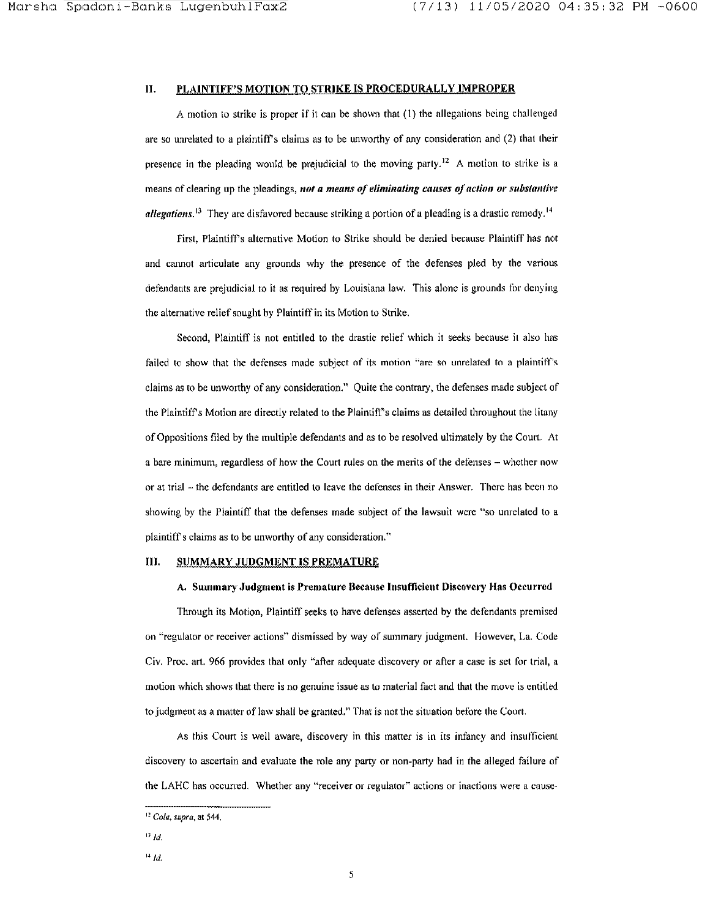# II. PLAINTIFF'S MOTION TO STRIKE IS PROCEDURALLY IMPROPER

A motion to strike is proper if it can be shown that (I) the allegations being challenged are so unrelated to a plaintiff's claims as to be unworthy of any consideration and (2) that their presence in the pleading would be prejudicial to the moving party.<sup>12</sup> A motion to strike is a means of clearing up the pleadings, *not a means of eliminating causes of action or substantive allegations*.<sup>13</sup> They are disfavored because striking a portion of a pleading is a drastic remedy.<sup>14</sup>

First, Plaintiff's alternative Motion to Strike should be denied because Plaintiff has not and cannot articulate any grounds why the presence of the defenses pied by the various defendants are prejudicial to it as required by Louisiana law. This alone is grounds for denying the alternative relief sought by Plaintiff in its Motion to Strike.

Second, Plaintiff is not entitled to the drastic relief which it seeks because it also has failed to show that the defenses made subject of its motion "are so unrelated to a plaintiff's claims as to be unworthy of any consideration." Quite the contrary, the defenses made subject of the Plaintiff's Motion are directly related to the Plaintitl's claims as detailed throughout the litany of Oppositions filed by the multiple defendants and as to be resolved ultimately by the Court. At a bare minimum, regardless of how the Court rules on the merits of the defenses – whether now or at trial – the defendants are entitled to leave the defenses in their Answer. There has been no showing by the Plaintiff that the defenses made subject of the lawsuit were "so unrelated to a plaintiffs claims as to be unworthy of any consideration."

# III. SUMMARY JUDGMENT IS PREMATURE

## A. Summary Judgment is Premature Because Insufficient Discovery Has Occurred

Tltrough its Motion, Plaintiff seeks to have defenses asserted by the defendants premised on "regulator or receiver actions" dismissed by way of summary judgment. However, La. Code Civ. Proc. art. 966 provides that only "after adequate discovery or after a case is set for trial, a motion which shows that there is no genuine issue as to material fact and that the move is entitled to judgment as a matter of Jaw shall be granted." That is not the situation before the Court.

As this Court is well aware, discovery in this matter is in its infancy and insufficient discovery to ascertain and evaluate the role any party or non-party had in the alleged failure of the LAHC has occurred. Whether any "receiver or regulator" actions or inactions were a cause-

<sup>12</sup>*Cole, supra,* at 544.

 $^{13}$  Id.

 $^{14}$  Id.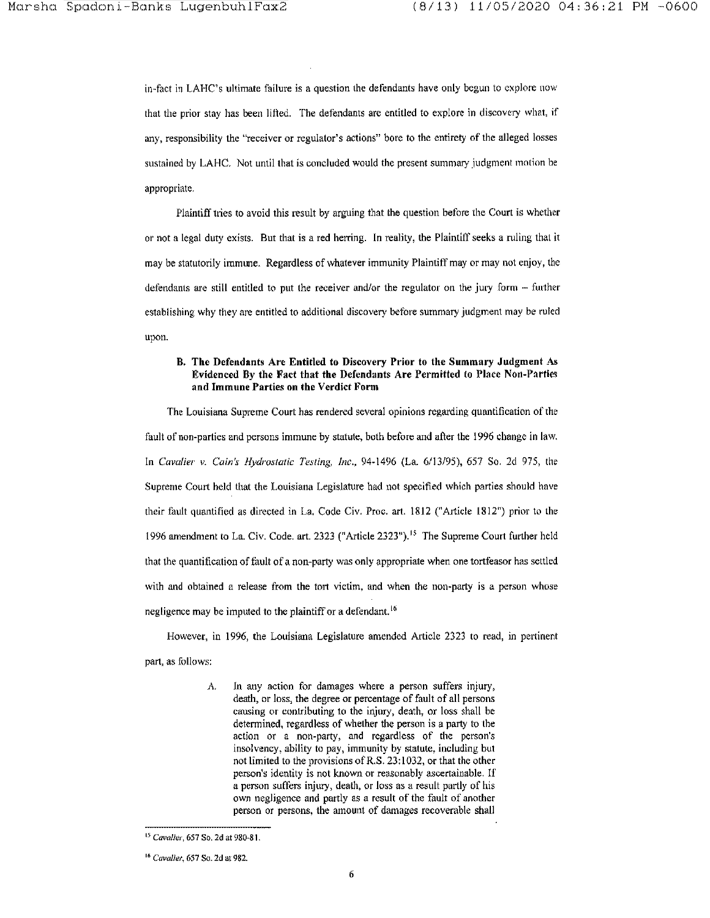in-fact in LAHC's ultimate failure is a question the defendants have only begun to explore now that the prior stay has been lifted. The defendants are entitled to explore in discovery what, if any, responsibility the "receiver or regulator's actions" bore to the entirety of the alleged losses sustained by LAHC. Not until that is concluded would the present summary judgment motion be appropriate.

Plaintiff tries to avoid this result by arguing that the question before the Court is whether or not a legal duty exists. But that is a red herring. In reality, the Plaintiff seeks a ruling that it may be statutorily immune. Regardless of whatever immunity Plaintiff may or may not enjoy, the defendants are still entitled to put the receiver and/or the regulator on the jury form  $-$  further establishing why they are entitled to additional discovery before summary judgment may be ruled upon.

### B. The Defendants Are Entitled to Discovery Prior to the Summary Judgment As Evidenced By the Fact that the Defendants Are Permitted to Place Non-Parties and Immune Parties on the Verdict Fonn

The Louisiana Supreme Court has rendered several opinions regarding quantification of the fault of non-parties and persons immune by statute, both before and after the J 996 change in law. ln *Cavalier v. Cain's Hydrostatic Testing, Inc.,* 94-1496 (La. 6/13/95), 657 So. 2d 975, the Supreme Court held tliat the Louisiana Legislature had not specified which parties should have their fault quantified as directed in La. Code Civ. Proc. art. 1812 ("Article 1812") prior to the l 996 amendment to La. Civ. Code. art. 2323 ("Article 2323"). 15 The Supreme Court further held that the quantification of fault of a non-party *was* only appropriate when one tortfeasor has settled with and obtained a release from the tort victim, and when the non-party is a person whose negligence may be imputed to the plaintiff or a defendant.<sup>16</sup>

However, in l 996, the Louisiana Legislature amended Article 2323 to read, in pertinent part, as follows:

> *A.* In any action for damages where a person suffers injury, death, or Joss, the degree or percentage of fault of all persons causing or contributing to the injury, death, or loss shall be determined, regardless of whether the person is a party to the action or a non-party, and regardless of the person's insolvency, ability to pay, immunity by statute, including but not limited to the provisions of R.S. 23: 1032, or that the other person's identity is not known or reasonably ascertainable. If a person suffers injury, death, or loss as a result partly of his own negligence and partly as a result of the fault of another person or persons, the amount of damages recoverable shall

<sup>15</sup>*Cavalier,* 657 So. 2d at 980-81.

<sup>16</sup>*Cavalier,* 657 So. 2d at 982.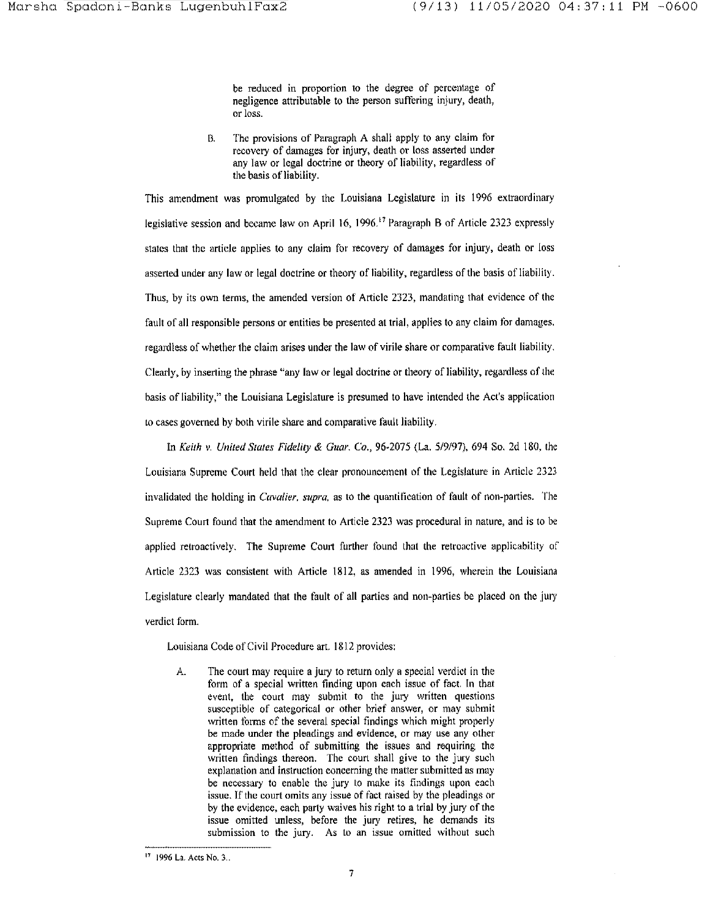be reduced in proportion to the degree of percentage of negligence attributable to the person suffering injury, death, **or loss.** 

B. The provisions of Paragraph A shall apply to any claim for recovery of damages for injury, death or loss asserted under any law or legal doctrine or theory of liability, regardless of the basis of liability.

This amendment was promulgated by the Louisiana Legislature in its 1996 extraordinary legislative session and became law on April 16, 1996.<sup>17</sup> Paragraph B of Article 2323 expressly stales that the article applies to any claim for recovery of damages for injury, death or loss asserted under any law or legal doctrine or theory of liability, regardless of the basis of liability. Thus, by its own terms, the amended version of Article 2323, mandating that evidence of the fault of all responsible persons or entities be presented at trial, applies to any claim for damages. regardless of whether the claim arises under the law of virile share or comparative fault liability. Clearly, by inserting the phrase "any law or legal doctrine or theory of liability, regardless of the basis of liability," the Louisiana Legislature is presumed lo have intended the Act's application to cases governed by both virile share and comparative fault liability.

In *Keith v. United States Fidelity* & *Guar. Co.,* 96-2075 (La. 5/9/97), 694 So. 2d 180, the Louisiana Supreme Court held that the clear pronouncement of the Legislature in Article 2323 **invalidated the holding in** *Cavalier. supra,* **as to the quantification of fault of non-parties. The**  Supreme Court found that the amendment to Article 2323 was procedural in nature, and is to be applied retroactively. The Supreme Court further found that the retroactive applicability of Article 2323 was consistent with Article 1812, as amended in 1996, wherein the Louisiana Legislature clearly mandated that the fault of all parties and non-parties be placed on the jury **verdict form.** 

Louisiana Code of Civil Procedure art. 1812 provides:

A. The court may require a jury to return only a special verdict in the form of a special written finding upon each issue of fact. In that event. the court may submit to the jury written questions susceptible of categorical or other brief answer, or may submit written forms of the several special findings which might properly be made under the pleadings and evidence, or may use any other appropriate method of submitting the issues and requiring the written findings thereon. The court shall give to the jury such **explanation and instruction concerning the matter submitted as may**  be necessary to enable the jury lo make its findings upon each **issue. If the court omits any issue of fact raised by the pleadings or**  by the evidence, each party waives his right to a trial by jury of the **issue omitted unless, before the jury retires, he demands its**  submission to the jury. As to an issue omitted without such

**<sup>1</sup> 7 1996 La. Acts No. 3 ..**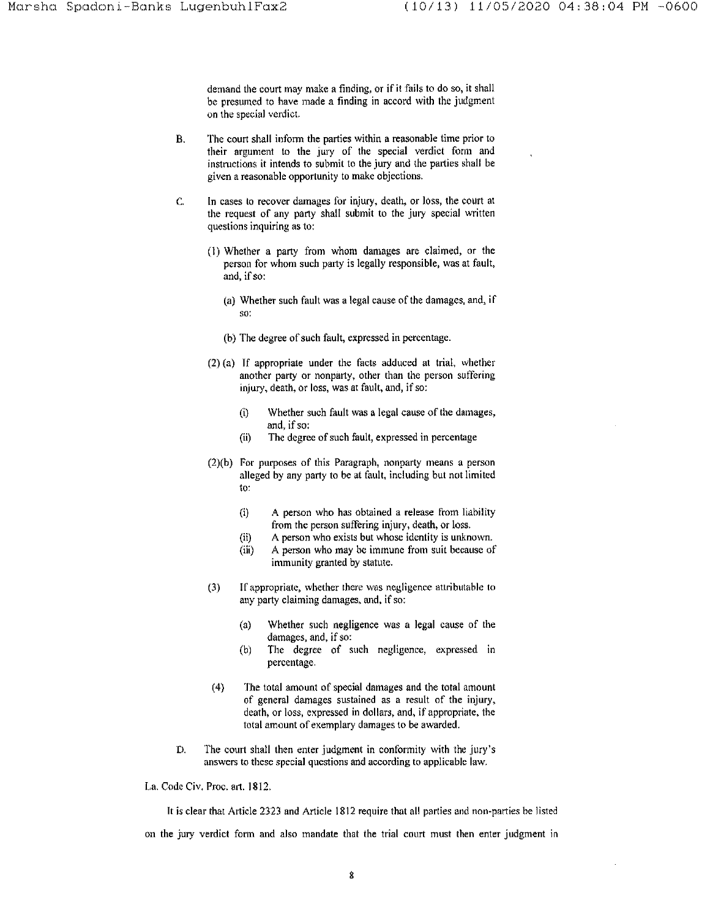demand the court may make a finding, or if it fails to do so, it shall be presumed to have made a finding in accord with the judgment **on the special verdict.** 

- B. The court shall inform the parties within a reasonable time prior to their argument to the jury of the special verdict form and instructions it intends to submit to *the* jury and the parties shall be given a reasonable opportunity to make objections.
- **C. In cases to recover damages for injury, death, or loss, the court at**  the request of any party shall submit to the jury special written questions inquiring as to:
	- (1) Whether a party from whom damages are claimed, or the person for whom such party is legally responsible, was at fault, and, if so:
		- (a) Whether such fault was a legal cause of the damages, and, if **so:**
		- (b) The degree of such fault, expressed in percentage.
	- (2) (a) If appropriate under the facts adduced at trial, whether another party or nonparty, other than the person suffering **injury, death, or loss, was at fault, and, if so:** 
		- $(i)$  Whether such fault was a legal cause of the damages, **andi if so:**
		- (ii) The degree of such fault, expressed in percentage
	- $(2)(b)$  For purposes of this Paragraph, nonparty means a person alleged by any party to be at fault, including but not limited to:
		- (i) A person who has obtained a release from liability **from the person suffering injury, death, or loss.**
		- (ii) **A person who exists but whose identity is unknown.**
		- (iii) A person who may be immune from suit because of immunity granted by statute.
	- **(3) If appropriate, whether there was negligence attributable to any party claiming damages. and, if so:** 
		- (a) Whether such negligence was a legal cause of the damages, and, if so:
		- (b) The degree of such negligence, expressed in percentage.
	- ( 4) The total amount of special damages and the total amount **of general damages sustained as a result of the injury,**  death, or loss, expressed in dollars, and, if appropriate, the total amount of exemplary damages to be awarded.
- D. The court shall then enter judgment in conformity with the jury's **answers to these special questions and according to applicable law.**

La. Code Civ. Proc. art. 1812.

It is clear that Article 2323 and Article 1812 require that all parties and non-parties be listed on the jury verdict form and also mandate that the trial court must then enter judgment in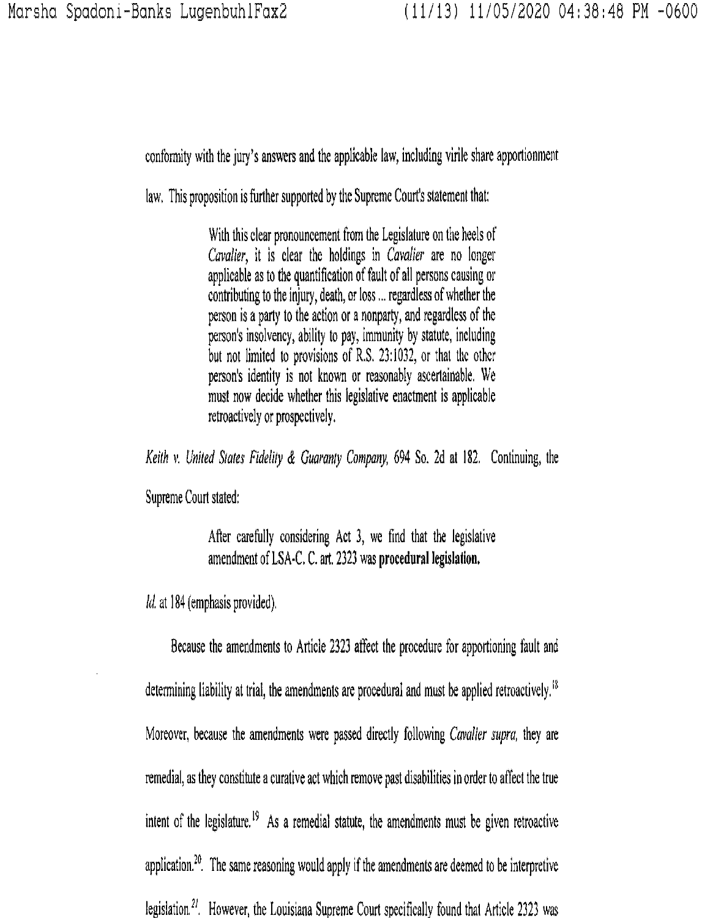conformity with the jury's answers and the applicable law, including virile share apportionment

law. This proposition is further supported by the Supreme Court's statement that:

With this clear pronouncement from the Legislature on the heels of *Cavalier,* it is clear the holdings in *Cavalier* are no longer applicable as to the quantification of fault of all persons causing or contributing to the injury, death, or loss ... regardless of whether the person is a party to the action or a nonparty, and regardless of the person's insolvency, ability to pay, immunity by statute, including but not limited to provisions of R.S. 23:1032, or that the other person's identity is not known or reasonably ascertainable. We must now decide whether this legislative enactment is applicable retroactively or prospectively.

*Keith* v. *United States Fidelity* & *Guaranty Company,* 694 So. 2d at 182. Continuing, the

Supreme Court stated:

After carefully considering Act 3, we find that the legislative amendment of LSA·C, C. art. 2323 was **procedural legislation.** 

*Id.* at 184 (emphasis provided).

Because the amendments to Article 2323 affect the procedure for apportioning fault and determining liability at trial, the amendments are procedural and must be applied retroactively.<sup>18</sup> Moreover, because the amendments were passed directly following *Cavalier supra,* they are remedial, as they constitute a curative act which remove past disabilities in order to affect the true intent of the legislature.<sup>19</sup> As a remedial statute, the amendments must be given retroactive application.<sup>20</sup>. The same reasoning would apply if the amendments are deemed to be interpretive legislation.<sup>21</sup>. However, the Louisiana Supreme Court specifically found that Article 2323 was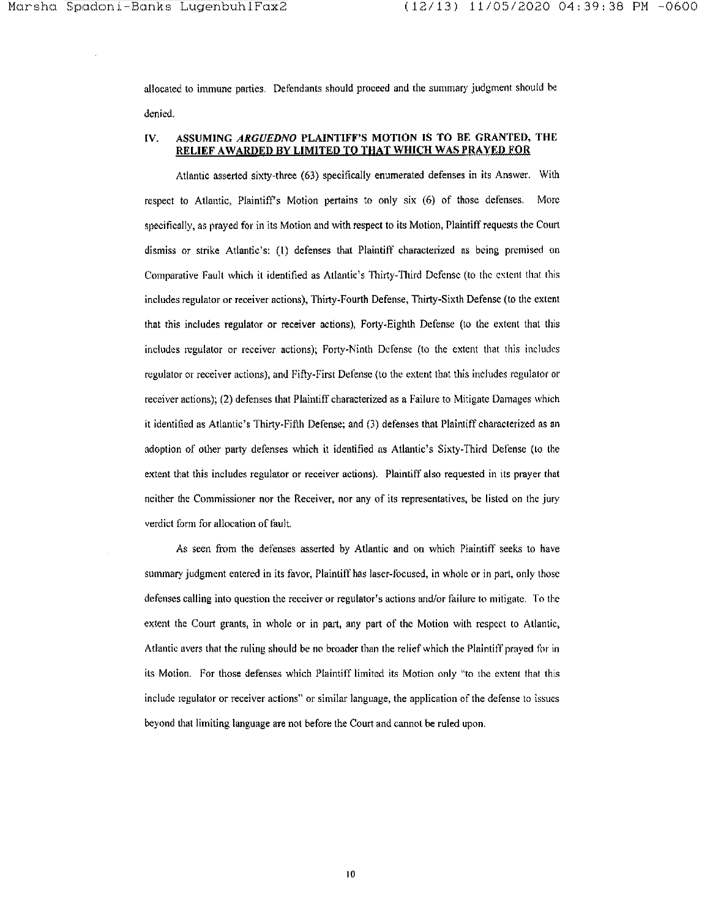allocated to immune parties. Defendants should proceed and the summary judgment should be denied.

## IV. ASSUMING ARGUEDNO PLAINTIFF'S MOTION IS TO BE GRANTED, THE RELIEF A WARDED BY LIMITED TO THAT WHICH WAS PRAYED FOR

Atlantic asserted sixty-three (63) specifically enumerated defenses in its Answer. With respect to Atlantic, Plaintiffs Motion pertains to only six (6) of those defenses. More specifically, as prayed for in its Motion and with respect to its Motion, Plaintiff requests the Court dismiss or strike Atlantic's: (I) defenses that Plaintiff characterized as being premised on Comparative Fault which it identified as Atlantic's Thirty-Third Defense (to the extent that this includes regulator or receiver actions), Thirty-Fourth Defense, Thirty-Sixth Defense (to the extent that this includes regulator or receiver actions), Forty-Eighth Defense (to the extent that this includes regulator or receiver actions); Forty-Ninth Defense (to the extent that this includes regulator or receiver actions), and Fifty-First Defense (to the extent that this includes regulator or receiver actions); (2) defenses that Plaintiff characterized as a Failure to Mitigate Damages which it identified as Atlantic's Thirty-Fifth Defense; and (3) defenses that Plaintiff characterized as an adoption of other party defenses which it identified as Atlantic's Sixty-Third Defense (to the extent that this includes regulator or receiver actions). Plaintiff also requested in its prayer that neither the Commissioner nor the Receiver, nor any of its representatives, be listed on the jury verdict form for allocation of fault.

As seen from the defenses asserted by Atlantic and on which Plaintiff seeks to have summary judgment entered in its favor, Plaintiff has laser-focused, in whole or in part, only those defenses calling into question the receiver or regulator's actions and/or failure to mitigate. To the extent the Court grants, in whole or in part, any part of the Motion with respect to Atlantic, Atlantic avers that the ruling should be no broader than the relief which the Plaintiff prayed for in its Motion. For those defenses which Plaintiff limited its Motion only "to the extent that this include regulator or receiver actions" or similar language, the application of the defense to issues beyond that limiting language are not before the Court and cannot be ruled upon.